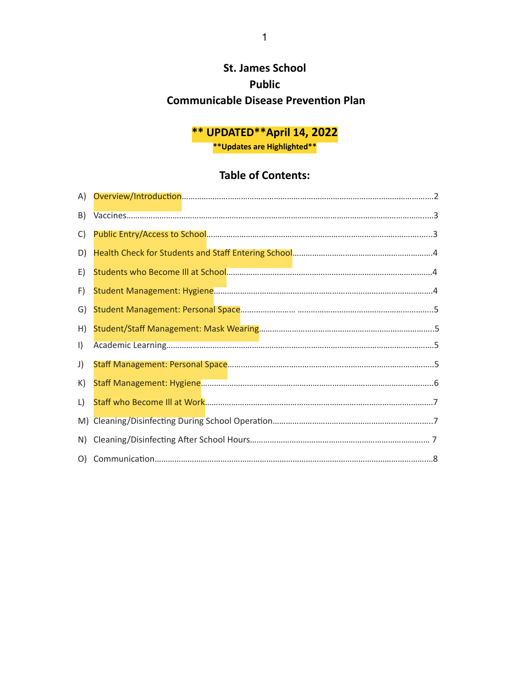# **St. James School Public Communicable Disease Prevention Plan**

# **\*\* UPDATED\*\*April 14, 2022**

**\*\*Updates are Highlighted\*\***

## **Table of Contents:**

| B)                      |  |
|-------------------------|--|
| C)                      |  |
| D)                      |  |
| E)                      |  |
| F)                      |  |
| G)                      |  |
| H)                      |  |
| $\vert$ )               |  |
| J)                      |  |
| K)                      |  |
| $\lfloor \cdot \rfloor$ |  |
|                         |  |
|                         |  |
|                         |  |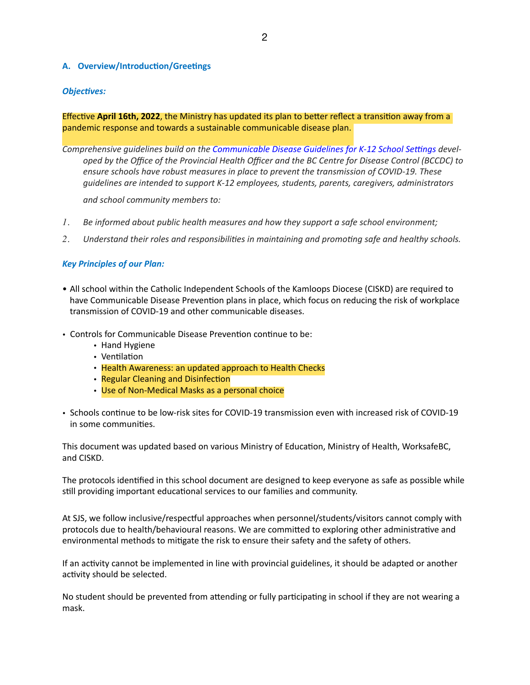#### **A. Overview/Introduction/Greetings**

#### *Objectives:*

Effective **April 16th, 2022**, the Ministry has updated its plan to better reflect a transition away from a pandemic response and towards a sustainable communicable disease plan.

*Comprehensive guidelines build on the Communicable Disease Guidelines for K-12 School Settings developed by the Office of the Provincial Health Officer and the BC Centre for Disease Control (BCCDC) to ensure schools have robust measures in place to prevent the transmission of COVID-19. These guidelines are intended to support K-12 employees, students, parents, caregivers, administrators* 

*and school community members to:*

- *1. Be informed about public health measures and how they support a safe school environment;*
- *2. Understand their roles and responsibilities in maintaining and promoting safe and healthy schools.*

#### *Key Principles of our Plan:*

- All school within the Catholic Independent Schools of the Kamloops Diocese (CISKD) are required to have Communicable Disease Prevention plans in place, which focus on reducing the risk of workplace transmission of COVID-19 and other communicable diseases.
- Controls for Communicable Disease Prevention continue to be:
	- Hand Hygiene
	- Ventilation
	- Health Awareness: an updated approach to Health Checks
	- Regular Cleaning and Disinfection
	- Use of Non-Medical Masks as a personal choice
- Schools continue to be low-risk sites for COVID-19 transmission even with increased risk of COVID-19 in some communities.

This document was updated based on various Ministry of Education, Ministry of Health, WorksafeBC, and CISKD.

The protocols identified in this school document are designed to keep everyone as safe as possible while still providing important educational services to our families and community.

At SJS, we follow inclusive/respectful approaches when personnel/students/visitors cannot comply with protocols due to health/behavioural reasons. We are committed to exploring other administrative and environmental methods to mitigate the risk to ensure their safety and the safety of others.

If an activity cannot be implemented in line with provincial guidelines, it should be adapted or another activity should be selected.

No student should be prevented from attending or fully participating in school if they are not wearing a mask.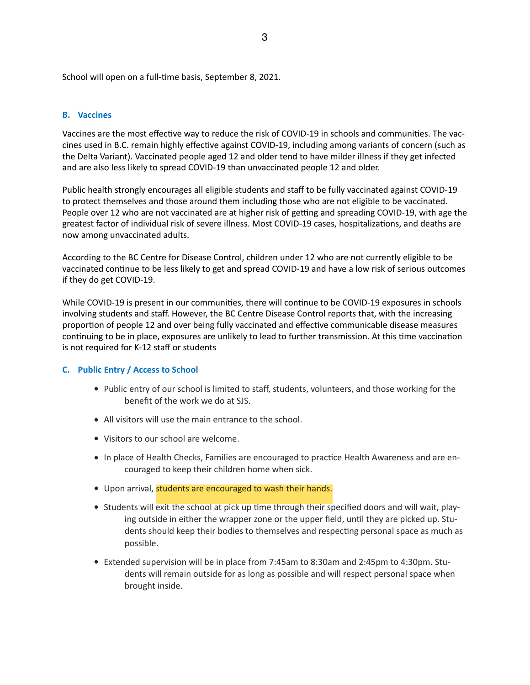## **B. Vaccines**

Vaccines are the most effective way to reduce the risk of COVID-19 in schools and communities. The vaccines used in B.C. remain highly effective against COVID-19, including among variants of concern (such as the Delta Variant). Vaccinated people aged 12 and older tend to have milder illness if they get infected and are also less likely to spread COVID-19 than unvaccinated people 12 and older.

Public health strongly encourages all eligible students and staff to be fully vaccinated against COVID-19 to protect themselves and those around them including those who are not eligible to be vaccinated. People over 12 who are not vaccinated are at higher risk of getting and spreading COVID-19, with age the greatest factor of individual risk of severe illness. Most COVID-19 cases, hospitalizations, and deaths are now among unvaccinated adults.

According to the BC Centre for Disease Control, children under 12 who are not currently eligible to be vaccinated continue to be less likely to get and spread COVID-19 and have a low risk of serious outcomes if they do get COVID-19.

While COVID-19 is present in our communities, there will continue to be COVID-19 exposures in schools involving students and staff. However, the BC Centre Disease Control reports that, with the increasing proportion of people 12 and over being fully vaccinated and effective communicable disease measures continuing to be in place, exposures are unlikely to lead to further transmission. At this time vaccination is not required for K-12 staff or students

### **C. Public Entry / Access to School**

- Public entry of our school is limited to staff, students, volunteers, and those working for the benefit of the work we do at SJS.
- All visitors will use the main entrance to the school.
- Visitors to our school are welcome.
- In place of Health Checks, Families are encouraged to practice Health Awareness and are encouraged to keep their children home when sick.
- Upon arrival, students are encouraged to wash their hands.
- Students will exit the school at pick up time through their specified doors and will wait, playing outside in either the wrapper zone or the upper field, until they are picked up. Students should keep their bodies to themselves and respecting personal space as much as possible.
- Extended supervision will be in place from 7:45am to 8:30am and 2:45pm to 4:30pm. Students will remain outside for as long as possible and will respect personal space when brought inside.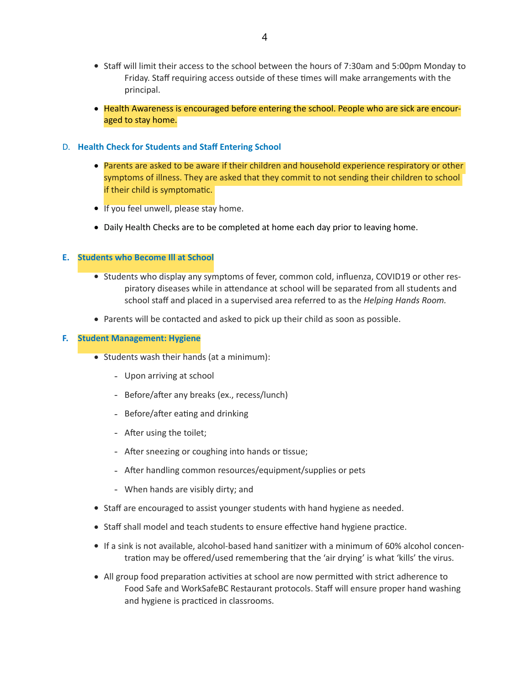- Staff will limit their access to the school between the hours of 7:30am and 5:00pm Monday to Friday. Staff requiring access outside of these times will make arrangements with the principal.
- Health Awareness is encouraged before entering the school. People who are sick are encouraged to stay home.

#### D. **Health Check for Students and Staff Entering School**

- Parents are asked to be aware if their children and household experience respiratory or other symptoms of illness. They are asked that they commit to not sending their children to school if their child is symptomatic.
- If you feel unwell, please stay home.
- Daily Health Checks are to be completed at home each day prior to leaving home.

#### **E. Students who Become Ill at School**

- Students who display any symptoms of fever, common cold, influenza, COVID19 or other respiratory diseases while in attendance at school will be separated from all students and school staff and placed in a supervised area referred to as the *Helping Hands Room.*
- Parents will be contacted and asked to pick up their child as soon as possible.

#### **F. Student Management: Hygiene**

- Students wash their hands (at a minimum):
	- Upon arriving at school
	- Before/after any breaks (ex., recess/lunch)
	- Before/after eating and drinking
	- After using the toilet;
	- After sneezing or coughing into hands or tissue;
	- After handling common resources/equipment/supplies or pets
	- When hands are visibly dirty; and
- Staff are encouraged to assist younger students with hand hygiene as needed.
- Staff shall model and teach students to ensure effective hand hygiene practice.
- If a sink is not available, alcohol-based hand sanitizer with a minimum of 60% alcohol concentration may be offered/used remembering that the 'air drying' is what 'kills' the virus.
- All group food preparation activities at school are now permitted with strict adherence to Food Safe and WorkSafeBC Restaurant protocols. Staff will ensure proper hand washing and hygiene is practiced in classrooms.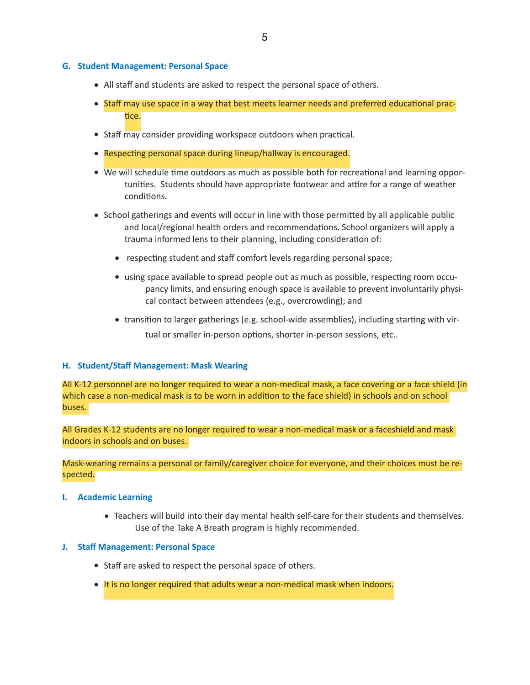#### **G. Student Management: Personal Space**

- All staff and students are asked to respect the personal space of others.
- Staff may use space in a way that best meets learner needs and preferred educational practice.
- Staff may consider providing workspace outdoors when practical.
- Respecting personal space during lineup/hallway is encouraged.
- We will schedule time outdoors as much as possible both for recreational and learning opportunities. Students should have appropriate footwear and attire for a range of weather conditions.
- School gatherings and events will occur in line with those permitted by all applicable public and local/regional health orders and recommendations. School organizers will apply a trauma informed lens to their planning, including consideration of:
	- respecting student and staff comfort levels regarding personal space;
	- using space available to spread people out as much as possible, respecting room occupancy limits, and ensuring enough space is available to prevent involuntarily physical contact between attendees (e.g., overcrowding); and
	- transition to larger gatherings (e.g. school-wide assemblies), including starting with virtual or smaller in-person options, shorter in-person sessions, etc..

#### **H. Student/Staff Management: Mask Wearing**

All K-12 personnel are no longer required to wear a non-medical mask, a face covering or a face shield (in which case a non-medical mask is to be worn in addition to the face shield) in schools and on school buses.

All Grades K-12 students are no longer required to wear a non-medical mask or a faceshield and mask indoors in schools and on buses.

Mask-wearing remains a personal or family/caregiver choice for everyone, and their choices must be respected.

- **I. Academic Learning**
	- Teachers will build into their day mental health self-care for their students and themselves. Use of the Take A Breath program is highly recommended.

#### **J. Staff Management: Personal Space**

- Staff are asked to respect the personal space of others.
- It is no longer required that adults wear a non-medical mask when indoors.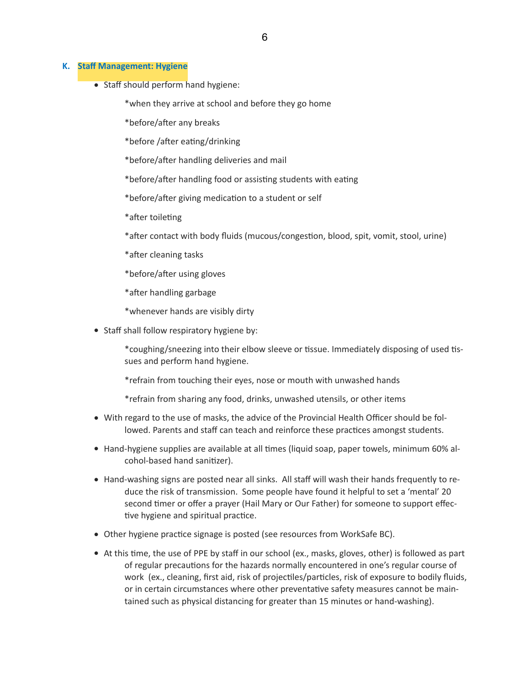#### **K. Staff Management: Hygiene**

• Staff should perform hand hygiene:

\*when they arrive at school and before they go home

\*before/after any breaks

\*before /after eating/drinking

\*before/after handling deliveries and mail

\*before/after handling food or assisting students with eating

\*before/after giving medication to a student or self

\*after toileting

\*after contact with body fluids (mucous/congestion, blood, spit, vomit, stool, urine)

- \*after cleaning tasks
- \*before/after using gloves

\*after handling garbage

\*whenever hands are visibly dirty

• Staff shall follow respiratory hygiene by:

\*coughing/sneezing into their elbow sleeve or tissue. Immediately disposing of used tissues and perform hand hygiene.

\*refrain from touching their eyes, nose or mouth with unwashed hands

\*refrain from sharing any food, drinks, unwashed utensils, or other items

- With regard to the use of masks, the advice of the Provincial Health Officer should be followed. Parents and staff can teach and reinforce these practices amongst students.
- Hand-hygiene supplies are available at all times (liquid soap, paper towels, minimum 60% alcohol-based hand sanitizer).
- Hand-washing signs are posted near all sinks. All staff will wash their hands frequently to reduce the risk of transmission. Some people have found it helpful to set a 'mental' 20 second timer or offer a prayer (Hail Mary or Our Father) for someone to support effective hygiene and spiritual practice.
- Other hygiene practice signage is posted (see resources from WorkSafe BC).
- At this time, the use of PPE by staff in our school (ex., masks, gloves, other) is followed as part of regular precautions for the hazards normally encountered in one's regular course of work (ex., cleaning, first aid, risk of projectiles/particles, risk of exposure to bodily fluids, or in certain circumstances where other preventative safety measures cannot be maintained such as physical distancing for greater than 15 minutes or hand-washing).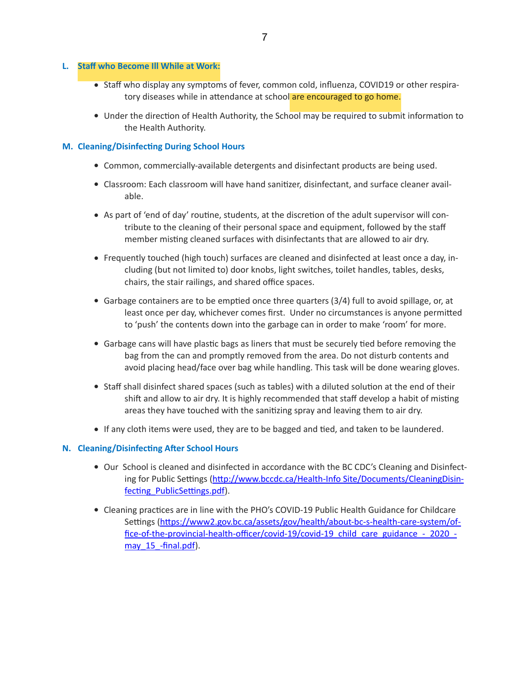#### **L. Staff who Become Ill While at Work:**

- Staff who display any symptoms of fever, common cold, influenza, COVID19 or other respiratory diseases while in attendance at school are encouraged to go home.
- Under the direction of Health Authority, the School may be required to submit information to the Health Authority.

#### **M. Cleaning/Disinfecting During School Hours**

- Common, commercially-available detergents and disinfectant products are being used.
- Classroom: Each classroom will have hand sanitizer, disinfectant, and surface cleaner available.
- As part of 'end of day' routine, students, at the discretion of the adult supervisor will contribute to the cleaning of their personal space and equipment, followed by the staff member misting cleaned surfaces with disinfectants that are allowed to air dry.
- Frequently touched (high touch) surfaces are cleaned and disinfected at least once a day, including (but not limited to) door knobs, light switches, toilet handles, tables, desks, chairs, the stair railings, and shared office spaces.
- Garbage containers are to be emptied once three quarters (3/4) full to avoid spillage, or, at least once per day, whichever comes first. Under no circumstances is anyone permitted to 'push' the contents down into the garbage can in order to make 'room' for more.
- Garbage cans will have plastic bags as liners that must be securely tied before removing the bag from the can and promptly removed from the area. Do not disturb contents and avoid placing head/face over bag while handling. This task will be done wearing gloves.
- Staff shall disinfect shared spaces (such as tables) with a diluted solution at the end of their shift and allow to air dry. It is highly recommended that staff develop a habit of misting areas they have touched with the sanitizing spray and leaving them to air dry.
- If any cloth items were used, they are to be bagged and tied, and taken to be laundered.

#### **N. Cleaning/Disinfecting After School Hours**

- Our School is cleaned and disinfected in accordance with the BC CDC's Cleaning and Disinfecting for Public Settings ([http://www.bccdc.ca/Health-Info Site/Documents/CleaningDisin](http://www.bccdc.ca/Health-Info%252520Site/Documents/CleaningDisinfecting_PublicSettings.pdf)[fecting\\_PublicSettings.pdf\).](http://www.bccdc.ca/Health-Info%252520Site/Documents/CleaningDisinfecting_PublicSettings.pdf)
- Cleaning practices are in line with the PHO's COVID-19 Public Health Guidance for Childcare Settings ([https://www2.gov.bc.ca/assets/gov/health/about-bc-s-health-care-system/of](https://www2.gov.bc.ca/assets/gov/health/about-bc-s-health-care-system/office-of-the-provincial-health-officer/covid-19/covid-19_child_care_guidance_-_2020_may_15_-final.pdf)[fice-of-the-provincial-health-officer/covid-19/covid-19\\_child\\_care\\_guidance\\_-\\_2020\\_](https://www2.gov.bc.ca/assets/gov/health/about-bc-s-health-care-system/office-of-the-provincial-health-officer/covid-19/covid-19_child_care_guidance_-_2020_may_15_-final.pdf) may 15 -final.pdf).